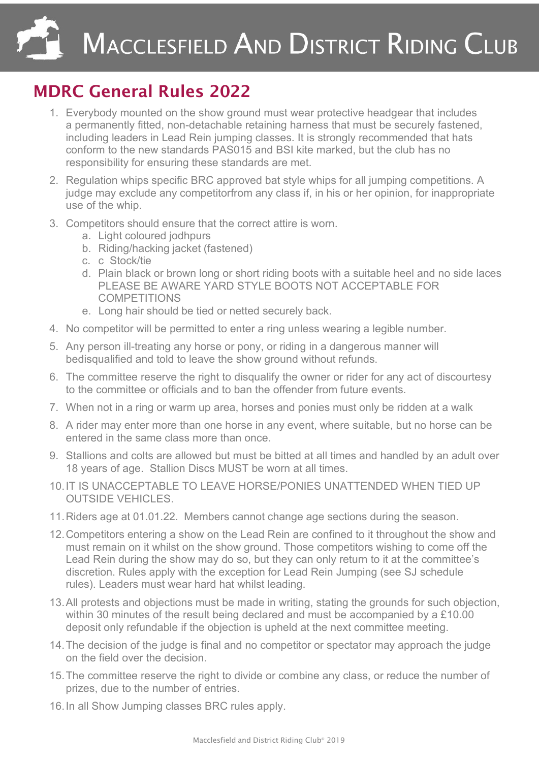## MACCLESFIELD AND DISTRICT RIDING CLUB

## MDRC General Rules 2022

- 1. Everybody mounted on the show ground must wear protective headgear that includes a permanently fitted, non-detachable retaining harness that must be securely fastened, including leaders in Lead Rein jumping classes. It is strongly recommended that hats conform to the new standards PAS015 and BSI kite marked, but the club has no responsibility for ensuring these standards are met.
- 2. Regulation whips specific BRC approved bat style whips for all jumping competitions. A judge may exclude any competitorfrom any class if, in his or her opinion, for inappropriate use of the whip.
- 3. Competitors should ensure that the correct attire is worn.
	- a. Light coloured jodhpurs
	- b. Riding/hacking jacket (fastened)
	- c. c Stock/tie
	- d. Plain black or brown long or short riding boots with a suitable heel and no side laces PLEASE BE AWARE YARD STYLE BOOTS NOT ACCEPTABLE FOR **COMPETITIONS**
	- e. Long hair should be tied or netted securely back.
- 4. No competitor will be permitted to enter a ring unless wearing a legible number.
- 5. Any person ill-treating any horse or pony, or riding in a dangerous manner will bedisqualified and told to leave the show ground without refunds.
- 6. The committee reserve the right to disqualify the owner or rider for any act of discourtesy to the committee or officials and to ban the offender from future events.
- 7. When not in a ring or warm up area, horses and ponies must only be ridden at a walk
- 8. A rider may enter more than one horse in any event, where suitable, but no horse can be entered in the same class more than once.
- 9. Stallions and colts are allowed but must be bitted at all times and handled by an adult over 18 years of age. Stallion Discs MUST be worn at all times.
- 10.IT IS UNACCEPTABLE TO LEAVE HORSE/PONIES UNATTENDED WHEN TIED UP OUTSIDE VEHICLES.
- 11.Riders age at 01.01.22. Members cannot change age sections during the season.
- 12.Competitors entering a show on the Lead Rein are confined to it throughout the show and must remain on it whilst on the show ground. Those competitors wishing to come off the Lead Rein during the show may do so, but they can only return to it at the committee's discretion. Rules apply with the exception for Lead Rein Jumping (see SJ schedule rules). Leaders must wear hard hat whilst leading.
- 13.All protests and objections must be made in writing, stating the grounds for such objection, within 30 minutes of the result being declared and must be accompanied by a £10.00 deposit only refundable if the objection is upheld at the next committee meeting.
- 14.The decision of the judge is final and no competitor or spectator may approach the judge on the field over the decision.
- 15.The committee reserve the right to divide or combine any class, or reduce the number of prizes, due to the number of entries.
- 16.In all Show Jumping classes BRC rules apply.